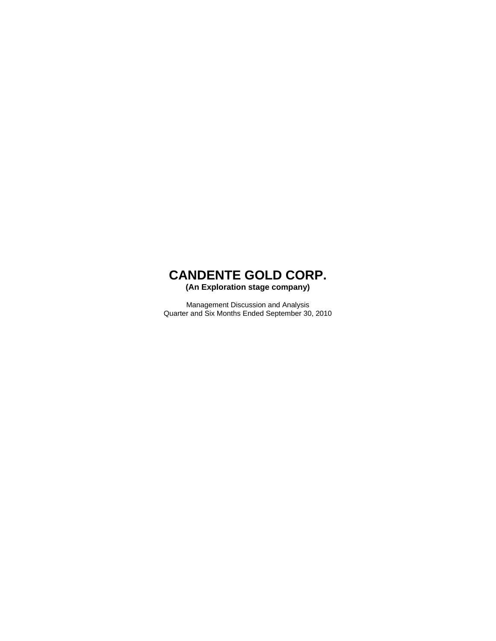**(An Exploration stage company)** 

Management Discussion and Analysis Quarter and Six Months Ended September 30, 2010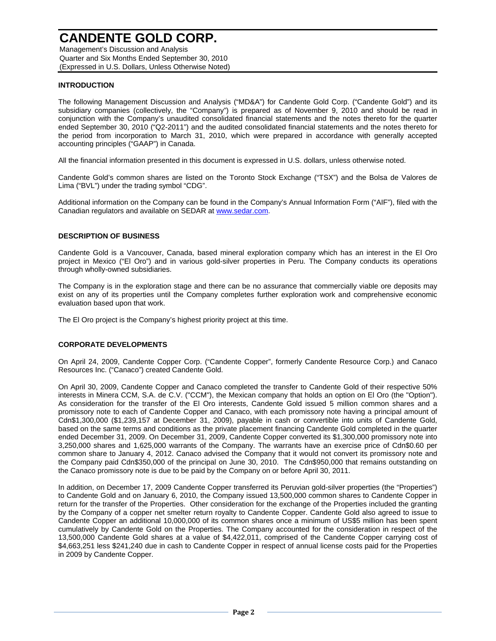Management's Discussion and Analysis Quarter and Six Months Ended September 30, 2010 (Expressed in U.S. Dollars, Unless Otherwise Noted)

### **INTRODUCTION**

The following Management Discussion and Analysis ("MD&A") for Candente Gold Corp. ("Candente Gold") and its subsidiary companies (collectively, the "Company") is prepared as of November 9, 2010 and should be read in conjunction with the Company's unaudited consolidated financial statements and the notes thereto for the quarter ended September 30, 2010 ("Q2-2011") and the audited consolidated financial statements and the notes thereto for the period from incorporation to March 31, 2010, which were prepared in accordance with generally accepted accounting principles ("GAAP") in Canada.

All the financial information presented in this document is expressed in U.S. dollars, unless otherwise noted.

Candente Gold's common shares are listed on the Toronto Stock Exchange ("TSX") and the Bolsa de Valores de Lima ("BVL") under the trading symbol "CDG".

Additional information on the Company can be found in the Company's Annual Information Form ("AIF"), filed with the Canadian regulators and available on SEDAR at www.sedar.com.

### **DESCRIPTION OF BUSINESS**

Candente Gold is a Vancouver, Canada, based mineral exploration company which has an interest in the El Oro project in Mexico ("El Oro") and in various gold-silver properties in Peru. The Company conducts its operations through wholly-owned subsidiaries.

The Company is in the exploration stage and there can be no assurance that commercially viable ore deposits may exist on any of its properties until the Company completes further exploration work and comprehensive economic evaluation based upon that work.

The El Oro project is the Company's highest priority project at this time.

### **CORPORATE DEVELOPMENTS**

On April 24, 2009, Candente Copper Corp. ("Candente Copper", formerly Candente Resource Corp.) and Canaco Resources Inc. ("Canaco") created Candente Gold.

On April 30, 2009, Candente Copper and Canaco completed the transfer to Candente Gold of their respective 50% interests in Minera CCM, S.A. de C.V. ("CCM"), the Mexican company that holds an option on El Oro (the "Option"). As consideration for the transfer of the El Oro interests, Candente Gold issued 5 million common shares and a promissory note to each of Candente Copper and Canaco, with each promissory note having a principal amount of Cdn\$1,300,000 (\$1,239,157 at December 31, 2009), payable in cash or convertible into units of Candente Gold, based on the same terms and conditions as the private placement financing Candente Gold completed in the quarter ended December 31, 2009. On December 31, 2009, Candente Copper converted its \$1,300,000 promissory note into 3,250,000 shares and 1,625,000 warrants of the Company. The warrants have an exercise price of Cdn\$0.60 per common share to January 4, 2012. Canaco advised the Company that it would not convert its promissory note and the Company paid Cdn\$350,000 of the principal on June 30, 2010. The Cdn\$950,000 that remains outstanding on the Canaco promissory note is due to be paid by the Company on or before April 30, 2011.

In addition, on December 17, 2009 Candente Copper transferred its Peruvian gold-silver properties (the "Properties") to Candente Gold and on January 6, 2010, the Company issued 13,500,000 common shares to Candente Copper in return for the transfer of the Properties. Other consideration for the exchange of the Properties included the granting by the Company of a copper net smelter return royalty to Candente Copper. Candente Gold also agreed to issue to Candente Copper an additional 10,000,000 of its common shares once a minimum of US\$5 million has been spent cumulatively by Candente Gold on the Properties. The Company accounted for the consideration in respect of the 13,500,000 Candente Gold shares at a value of \$4,422,011, comprised of the Candente Copper carrying cost of \$4,663,251 less \$241,240 due in cash to Candente Copper in respect of annual license costs paid for the Properties in 2009 by Candente Copper.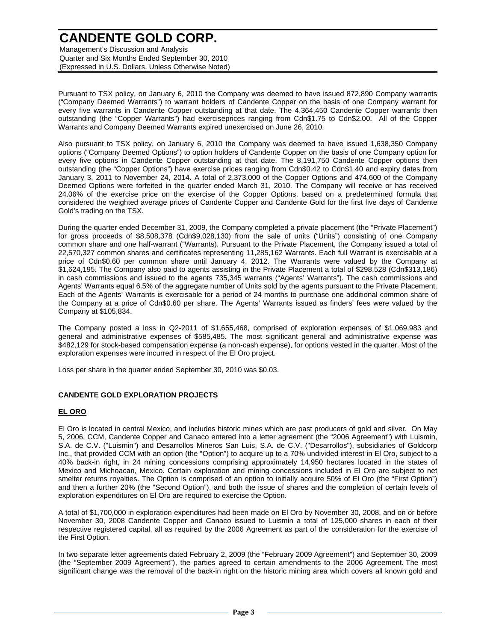Management's Discussion and Analysis Quarter and Six Months Ended September 30, 2010 (Expressed in U.S. Dollars, Unless Otherwise Noted)

Pursuant to TSX policy, on January 6, 2010 the Company was deemed to have issued 872,890 Company warrants ("Company Deemed Warrants") to warrant holders of Candente Copper on the basis of one Company warrant for every five warrants in Candente Copper outstanding at that date. The 4,364,450 Candente Copper warrants then outstanding (the "Copper Warrants") had exerciseprices ranging from Cdn\$1.75 to Cdn\$2.00. All of the Copper Warrants and Company Deemed Warrants expired unexercised on June 26, 2010.

Also pursuant to TSX policy, on January 6, 2010 the Company was deemed to have issued 1,638,350 Company options ("Company Deemed Options") to option holders of Candente Copper on the basis of one Company option for every five options in Candente Copper outstanding at that date. The 8,191,750 Candente Copper options then outstanding (the "Copper Options") have exercise prices ranging from Cdn\$0.42 to Cdn\$1.40 and expiry dates from January 3, 2011 to November 24, 2014. A total of 2,373,000 of the Copper Options and 474,600 of the Company Deemed Options were forfeited in the quarter ended March 31, 2010. The Company will receive or has received 24.06% of the exercise price on the exercise of the Copper Options, based on a predetermined formula that considered the weighted average prices of Candente Copper and Candente Gold for the first five days of Candente Gold's trading on the TSX.

During the quarter ended December 31, 2009, the Company completed a private placement (the "Private Placement") for gross proceeds of \$8,508,378 (Cdn\$9,028,130) from the sale of units ("Units") consisting of one Company common share and one half-warrant ("Warrants). Pursuant to the Private Placement, the Company issued a total of 22,570,327 common shares and certificates representing 11,285,162 Warrants. Each full Warrant is exercisable at a price of Cdn\$0.60 per common share until January 4, 2012. The Warrants were valued by the Company at \$1,624,195. The Company also paid to agents assisting in the Private Placement a total of \$298,528 (Cdn\$313,186) in cash commissions and issued to the agents 735,345 warrants ("Agents' Warrants"). The cash commissions and Agents' Warrants equal 6.5% of the aggregate number of Units sold by the agents pursuant to the Private Placement. Each of the Agents' Warrants is exercisable for a period of 24 months to purchase one additional common share of the Company at a price of Cdn\$0.60 per share. The Agents' Warrants issued as finders' fees were valued by the Company at \$105,834.

The Company posted a loss in Q2-2011 of \$1,655,468, comprised of exploration expenses of \$1,069,983 and general and administrative expenses of \$585,485. The most significant general and administrative expense was \$482,129 for stock-based compensation expense (a non-cash expense), for options vested in the quarter. Most of the exploration expenses were incurred in respect of the El Oro project.

Loss per share in the quarter ended September 30, 2010 was \$0.03.

### **CANDENTE GOLD EXPLORATION PROJECTS**

## **EL ORO**

El Oro is located in central Mexico, and includes historic mines which are past producers of gold and silver. On May 5, 2006, CCM, Candente Copper and Canaco entered into a letter agreement (the "2006 Agreement") with Luismin, S.A. de C.V. ("Luismin") and Desarrollos Mineros San Luis, S.A. de C.V. ("Desarrollos"), subsidiaries of Goldcorp Inc., that provided CCM with an option (the "Option") to acquire up to a 70% undivided interest in El Oro, subject to a 40% back-in right, in 24 mining concessions comprising approximately 14,950 hectares located in the states of Mexico and Michoacan, Mexico. Certain exploration and mining concessions included in El Oro are subject to net smelter returns royalties. The Option is comprised of an option to initially acquire 50% of El Oro (the "First Option") and then a further 20% (the "Second Option"), and both the issue of shares and the completion of certain levels of exploration expenditures on El Oro are required to exercise the Option.

A total of \$1,700,000 in exploration expenditures had been made on El Oro by November 30, 2008, and on or before November 30, 2008 Candente Copper and Canaco issued to Luismin a total of 125,000 shares in each of their respective registered capital, all as required by the 2006 Agreement as part of the consideration for the exercise of the First Option.

In two separate letter agreements dated February 2, 2009 (the "February 2009 Agreement") and September 30, 2009 (the "September 2009 Agreement"), the parties agreed to certain amendments to the 2006 Agreement. The most significant change was the removal of the back-in right on the historic mining area which covers all known gold and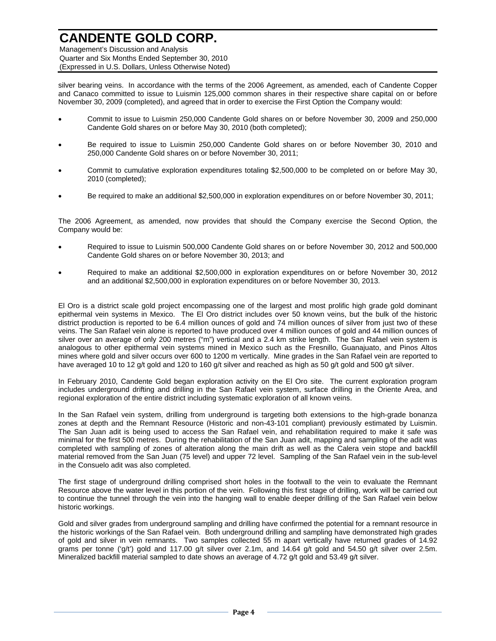Management's Discussion and Analysis Quarter and Six Months Ended September 30, 2010 (Expressed in U.S. Dollars, Unless Otherwise Noted)

silver bearing veins. In accordance with the terms of the 2006 Agreement, as amended, each of Candente Copper and Canaco committed to issue to Luismin 125,000 common shares in their respective share capital on or before November 30, 2009 (completed), and agreed that in order to exercise the First Option the Company would:

- Commit to issue to Luismin 250,000 Candente Gold shares on or before November 30, 2009 and 250,000 Candente Gold shares on or before May 30, 2010 (both completed);
- Be required to issue to Luismin 250,000 Candente Gold shares on or before November 30, 2010 and 250,000 Candente Gold shares on or before November 30, 2011;
- Commit to cumulative exploration expenditures totaling \$2,500,000 to be completed on or before May 30, 2010 (completed);
- Be required to make an additional \$2,500,000 in exploration expenditures on or before November 30, 2011;

The 2006 Agreement, as amended, now provides that should the Company exercise the Second Option, the Company would be:

- Required to issue to Luismin 500,000 Candente Gold shares on or before November 30, 2012 and 500,000 Candente Gold shares on or before November 30, 2013; and
- Required to make an additional \$2,500,000 in exploration expenditures on or before November 30, 2012 and an additional \$2,500,000 in exploration expenditures on or before November 30, 2013.

El Oro is a district scale gold project encompassing one of the largest and most prolific high grade gold dominant epithermal vein systems in Mexico. The El Oro district includes over 50 known veins, but the bulk of the historic district production is reported to be 6.4 million ounces of gold and 74 million ounces of silver from just two of these veins. The San Rafael vein alone is reported to have produced over 4 million ounces of gold and 44 million ounces of silver over an average of only 200 metres ("m") vertical and a 2.4 km strike length. The San Rafael vein system is analogous to other epithermal vein systems mined in Mexico such as the Fresnillo, Guanajuato, and Pinos Altos mines where gold and silver occurs over 600 to 1200 m vertically. Mine grades in the San Rafael vein are reported to have averaged 10 to 12 g/t gold and 120 to 160 g/t silver and reached as high as 50 g/t gold and 500 g/t silver.

In February 2010, Candente Gold began exploration activity on the El Oro site. The current exploration program includes underground drifting and drilling in the San Rafael vein system, surface drilling in the Oriente Area, and regional exploration of the entire district including systematic exploration of all known veins.

In the San Rafael vein system, drilling from underground is targeting both extensions to the high-grade bonanza zones at depth and the Remnant Resource (Historic and non-43-101 compliant) previously estimated by Luismin. The San Juan adit is being used to access the San Rafael vein, and rehabilitation required to make it safe was minimal for the first 500 metres. During the rehabilitation of the San Juan adit, mapping and sampling of the adit was completed with sampling of zones of alteration along the main drift as well as the Calera vein stope and backfill material removed from the San Juan (75 level) and upper 72 level. Sampling of the San Rafael vein in the sub-level in the Consuelo adit was also completed.

The first stage of underground drilling comprised short holes in the footwall to the vein to evaluate the Remnant Resource above the water level in this portion of the vein. Following this first stage of drilling, work will be carried out to continue the tunnel through the vein into the hanging wall to enable deeper drilling of the San Rafael vein below historic workings.

Gold and silver grades from underground sampling and drilling have confirmed the potential for a remnant resource in the historic workings of the San Rafael vein. Both underground drilling and sampling have demonstrated high grades of gold and silver in vein remnants. Two samples collected 55 m apart vertically have returned grades of 14.92 grams per tonne ('g/t') gold and 117.00 g/t silver over 2.1m, and 14.64 g/t gold and 54.50 g/t silver over 2.5m. Mineralized backfill material sampled to date shows an average of 4.72 g/t gold and 53.49 g/t silver.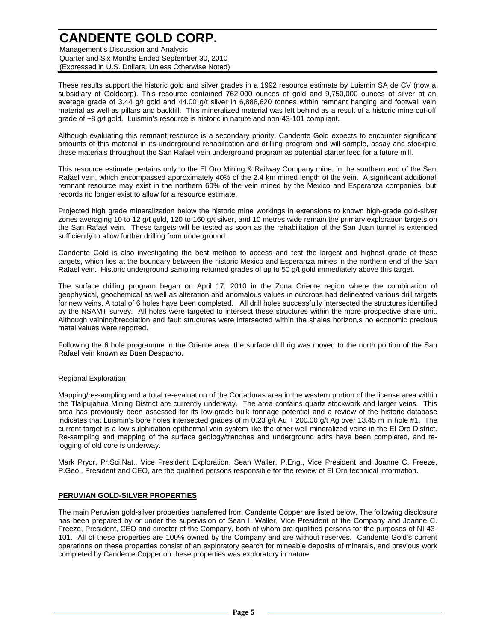Management's Discussion and Analysis Quarter and Six Months Ended September 30, 2010 (Expressed in U.S. Dollars, Unless Otherwise Noted)

These results support the historic gold and silver grades in a 1992 resource estimate by Luismin SA de CV (now a subsidiary of Goldcorp). This resource contained 762,000 ounces of gold and 9,750,000 ounces of silver at an average grade of 3.44 g/t gold and 44.00 g/t silver in 6,888,620 tonnes within remnant hanging and footwall vein material as well as pillars and backfill. This mineralized material was left behind as a result of a historic mine cut-off grade of ~8 g/t gold. Luismin's resource is historic in nature and non-43-101 compliant.

Although evaluating this remnant resource is a secondary priority, Candente Gold expects to encounter significant amounts of this material in its underground rehabilitation and drilling program and will sample, assay and stockpile these materials throughout the San Rafael vein underground program as potential starter feed for a future mill.

This resource estimate pertains only to the El Oro Mining & Railway Company mine, in the southern end of the San Rafael vein, which encompassed approximately 40% of the 2.4 km mined length of the vein. A significant additional remnant resource may exist in the northern 60% of the vein mined by the Mexico and Esperanza companies, but records no longer exist to allow for a resource estimate.

Projected high grade mineralization below the historic mine workings in extensions to known high-grade gold-silver zones averaging 10 to 12 g/t gold, 120 to 160 g/t silver, and 10 metres wide remain the primary exploration targets on the San Rafael vein. These targets will be tested as soon as the rehabilitation of the San Juan tunnel is extended sufficiently to allow further drilling from underground.

Candente Gold is also investigating the best method to access and test the largest and highest grade of these targets, which lies at the boundary between the historic Mexico and Esperanza mines in the northern end of the San Rafael vein. Historic underground sampling returned grades of up to 50 g/t gold immediately above this target.

The surface drilling program began on April 17, 2010 in the Zona Oriente region where the combination of geophysical, geochemical as well as alteration and anomalous values in outcrops had delineated various drill targets for new veins. A total of 6 holes have been completed. All drill holes successfully intersected the structures identified by the NSAMT survey. All holes were targeted to intersect these structures within the more prospective shale unit. Although veining/brecciation and fault structures were intersected within the shales horizon,s no economic precious metal values were reported.

Following the 6 hole programme in the Oriente area, the surface drill rig was moved to the north portion of the San Rafael vein known as Buen Despacho.

## Regional Exploration

Mapping/re-sampling and a total re-evaluation of the Cortaduras area in the western portion of the license area within the Tlalpujahua Mining District are currently underway. The area contains quartz stockwork and larger veins. This area has previously been assessed for its low-grade bulk tonnage potential and a review of the historic database indicates that Luismin's bore holes intersected grades of m 0.23 g/t Au + 200.00 g/t Ag over 13.45 m in hole #1. The current target is a low sulphidation epithermal vein system like the other well mineralized veins in the El Oro District. Re-sampling and mapping of the surface geology/trenches and underground adits have been completed, and relogging of old core is underway.

Mark Pryor, Pr.Sci.Nat., Vice President Exploration, Sean Waller, P.Eng., Vice President and Joanne C. Freeze, P.Geo., President and CEO, are the qualified persons responsible for the review of El Oro technical information.

### **PERUVIAN GOLD-SILVER PROPERTIES**

The main Peruvian gold-silver properties transferred from Candente Copper are listed below. The following disclosure has been prepared by or under the supervision of Sean I. Waller, Vice President of the Company and Joanne C. Freeze, President, CEO and director of the Company, both of whom are qualified persons for the purposes of NI-43- 101. All of these properties are 100% owned by the Company and are without reserves. Candente Gold's current operations on these properties consist of an exploratory search for mineable deposits of minerals, and previous work completed by Candente Copper on these properties was exploratory in nature.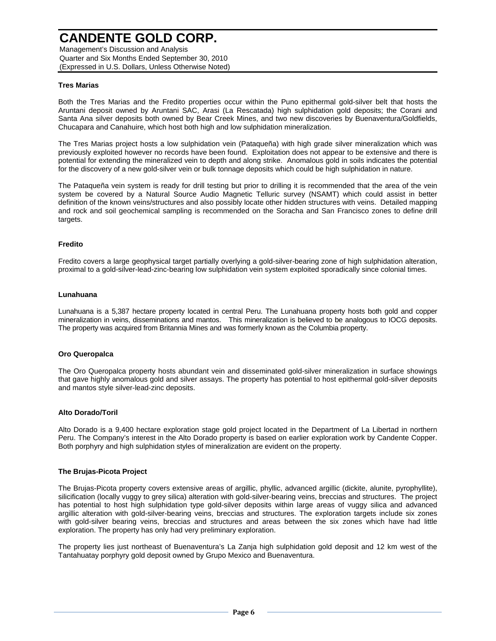Management's Discussion and Analysis Quarter and Six Months Ended September 30, 2010 (Expressed in U.S. Dollars, Unless Otherwise Noted)

### **Tres Marias**

Both the Tres Marias and the Fredito properties occur within the Puno epithermal gold-silver belt that hosts the Aruntani deposit owned by Aruntani SAC, Arasi (La Rescatada) high sulphidation gold deposits; the Corani and Santa Ana silver deposits both owned by Bear Creek Mines, and two new discoveries by Buenaventura/Goldfields, Chucapara and Canahuire, which host both high and low sulphidation mineralization.

The Tres Marias project hosts a low sulphidation vein (Pataqueña) with high grade silver mineralization which was previously exploited however no records have been found. Exploitation does not appear to be extensive and there is potential for extending the mineralized vein to depth and along strike. Anomalous gold in soils indicates the potential for the discovery of a new gold-silver vein or bulk tonnage deposits which could be high sulphidation in nature.

The Pataqueña vein system is ready for drill testing but prior to drilling it is recommended that the area of the vein system be covered by a Natural Source Audio Magnetic Telluric survey (NSAMT) which could assist in better definition of the known veins/structures and also possibly locate other hidden structures with veins. Detailed mapping and rock and soil geochemical sampling is recommended on the Soracha and San Francisco zones to define drill targets.

### **Fredito**

Fredito covers a large geophysical target partially overlying a gold-silver-bearing zone of high sulphidation alteration, proximal to a gold-silver-lead-zinc-bearing low sulphidation vein system exploited sporadically since colonial times.

### **Lunahuana**

Lunahuana is a 5,387 hectare property located in central Peru. The Lunahuana property hosts both gold and copper mineralization in veins, disseminations and mantos. This mineralization is believed to be analogous to IOCG deposits. The property was acquired from Britannia Mines and was formerly known as the Columbia property.

### **Oro Queropalca**

The Oro Queropalca property hosts abundant vein and disseminated gold-silver mineralization in surface showings that gave highly anomalous gold and silver assays. The property has potential to host epithermal gold-silver deposits and mantos style silver-lead-zinc deposits.

### **Alto Dorado/Toril**

Alto Dorado is a 9,400 hectare exploration stage gold project located in the Department of La Libertad in northern Peru. The Company's interest in the Alto Dorado property is based on earlier exploration work by Candente Copper. Both porphyry and high sulphidation styles of mineralization are evident on the property.

### **The Brujas-Picota Project**

The Brujas-Picota property covers extensive areas of argillic, phyllic, advanced argillic (dickite, alunite, pyrophyllite), silicification (locally vuggy to grey silica) alteration with gold-silver-bearing veins, breccias and structures. The project has potential to host high sulphidation type gold-silver deposits within large areas of vuggy silica and advanced argillic alteration with gold-silver-bearing veins, breccias and structures. The exploration targets include six zones with gold-silver bearing veins, breccias and structures and areas between the six zones which have had little exploration. The property has only had very preliminary exploration.

The property lies just northeast of Buenaventura's La Zanja high sulphidation gold deposit and 12 km west of the Tantahuatay porphyry gold deposit owned by Grupo Mexico and Buenaventura.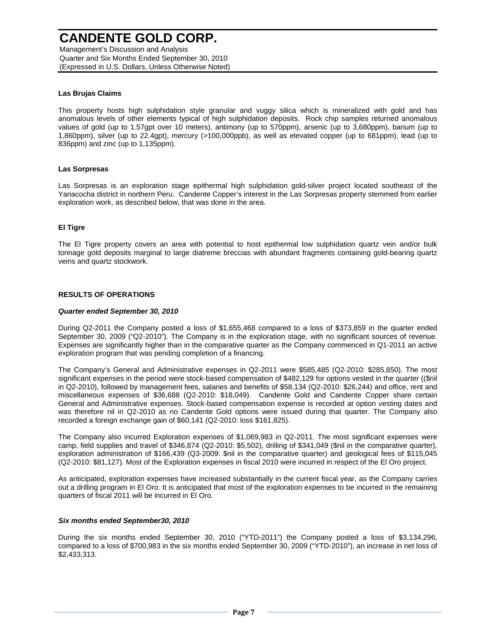Management's Discussion and Analysis Quarter and Six Months Ended September 30, 2010 (Expressed in U.S. Dollars, Unless Otherwise Noted)

### **Las Brujas Claims**

This property hosts high sulphidation style granular and vuggy silica which is mineralized with gold and has anomalous levels of other elements typical of high sulphidation deposits. Rock chip samples returned anomalous values of gold (up to 1.57gpt over 10 meters), antimony (up to 570ppm), arsenic (up to 3,680ppm), barium (up to 1,860ppm), silver (up to 22.4gpt), mercury (>100,000ppb), as well as elevated copper (up to 681ppm), lead (up to 836ppm) and zinc (up to 1,135ppm).

### **Las Sorpresas**

Las Sorpresas is an exploration stage epithermal high sulphidation gold-silver project located southeast of the Yanacocha district in northern Peru. Candente Copper's interest in the Las Sorpresas property stemmed from earlier exploration work, as described below, that was done in the area.

### **El Tigre**

The El Tigre property covers an area with potential to host epithermal low sulphidation quartz vein and/or bulk tonnage gold deposits marginal to large diatreme breccias with abundant fragments containing gold-bearing quartz veins and quartz stockwork.

### **RESULTS OF OPERATIONS**

### *Quarter ended September 30, 2010*

During Q2-2011 the Company posted a loss of \$1,655,468 compared to a loss of \$373,859 in the quarter ended September 30, 2009 ("Q2-2010"). The Company is in the exploration stage, with no significant sources of revenue. Expenses are significantly higher than in the comparative quarter as the Company commenced in Q1-2011 an active exploration program that was pending completion of a financing.

The Company's General and Administrative expenses in Q2-2011 were \$585,485 (Q2-2010: \$285,850). The most significant expenses in the period were stock-based compensation of \$482,129 for options vested in the quarter ((\$nil in Q2-2010), followed by management fees, salaries and benefits of \$58,134 (Q2-2010: \$26,244) and office, rent and miscellaneous expenses of \$36,688 (Q2-2010: \$18,049). Candente Gold and Candente Copper share certain General and Administrative expenses. Stock-based compensation expense is recorded at option vesting dates and was therefore nil in Q2-2010 as no Candente Gold options were issued during that quarter. The Company also recorded a foreign exchange gain of \$60,141 (Q2-2010: loss \$161,825).

The Company also incurred Exploration expenses of \$1,069,983 in Q2-2011. The most significant expenses were camp, field supplies and travel of \$346,874 (Q2-2010: \$5,502), drilling of \$341,049 (\$nil in the comparative quarter), exploration administration of \$166,439 (Q3-2009: \$nil in the comparative quarter) and geological fees of \$115,045 (Q2-2010: \$81,127). Most of the Exploration expenses in fiscal 2010 were incurred in respect of the El Oro project.

As anticipated, exploration expenses have increased substantially in the current fiscal year, as the Company carries out a drilling program in El Oro. It is anticipated that most of the exploration expenses to be incurred in the remaining quarters of fiscal 2011 will be incurred in El Oro.

### *Six months ended September30, 2010*

During the six months ended September 30, 2010 ("YTD-2011") the Company posted a loss of \$3,134,296, compared to a loss of \$700,983 in the six months ended September 30, 2009 ("YTD-2010"), an increase in net loss of \$2,433,313.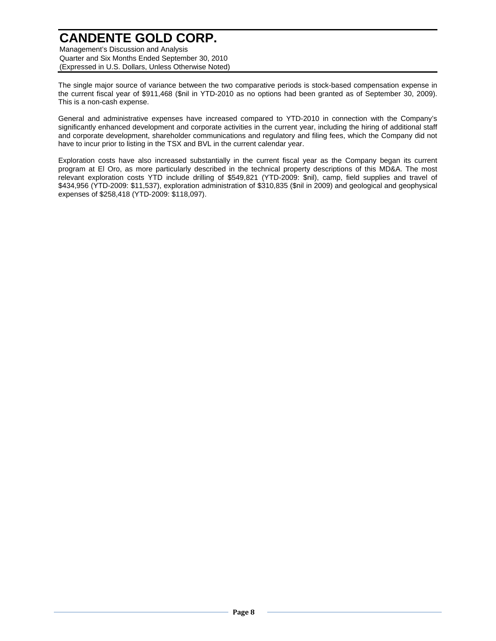Management's Discussion and Analysis Quarter and Six Months Ended September 30, 2010 (Expressed in U.S. Dollars, Unless Otherwise Noted)

The single major source of variance between the two comparative periods is stock-based compensation expense in the current fiscal year of \$911,468 (\$nil in YTD-2010 as no options had been granted as of September 30, 2009). This is a non-cash expense.

General and administrative expenses have increased compared to YTD-2010 in connection with the Company's significantly enhanced development and corporate activities in the current year, including the hiring of additional staff and corporate development, shareholder communications and regulatory and filing fees, which the Company did not have to incur prior to listing in the TSX and BVL in the current calendar year.

Exploration costs have also increased substantially in the current fiscal year as the Company began its current program at El Oro, as more particularly described in the technical property descriptions of this MD&A. The most relevant exploration costs YTD include drilling of \$549,821 (YTD-2009: \$nil), camp, field supplies and travel of \$434,956 (YTD-2009: \$11,537), exploration administration of \$310,835 (\$nil in 2009) and geological and geophysical expenses of \$258,418 (YTD-2009: \$118,097).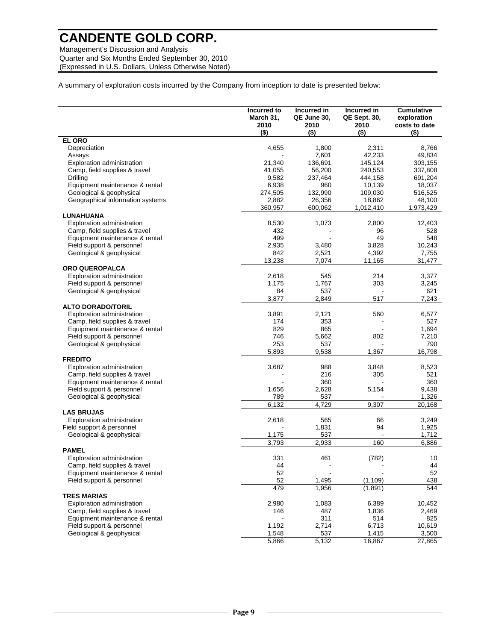Management's Discussion and Analysis Quarter and Six Months Ended September 30, 2010 (Expressed in U.S. Dollars, Unless Otherwise Noted)

A summary of exploration costs incurred by the Company from inception to date is presented below:

|                                   | Incurred to<br>March 31,<br>2010<br>$($ \$) | Incurred in<br>QE June 30,<br>2010<br>$($ \$) | Incurred in<br>QE Sept. 30,<br>2010<br>$($ \$) | <b>Cumulative</b><br>exploration<br>costs to date<br>$($ \$) |
|-----------------------------------|---------------------------------------------|-----------------------------------------------|------------------------------------------------|--------------------------------------------------------------|
| <b>EL ORO</b>                     |                                             |                                               |                                                |                                                              |
| Depreciation                      | 4,655                                       | 1,800                                         | 2,311                                          | 8,766                                                        |
| Assays                            |                                             | 7,601                                         | 42,233                                         | 49,834                                                       |
| Exploration administration        | 21,340                                      | 136,691                                       | 145,124                                        | 303,155                                                      |
| Camp, field supplies & travel     | 41,055                                      | 56,200                                        | 240,553                                        | 337,808                                                      |
| Drilling                          | 9,582                                       | 237,464                                       | 444,158                                        | 691,204                                                      |
| Equipment maintenance & rental    | 6,938                                       | 960                                           | 10,139                                         | 18,037                                                       |
| Geological & geophysical          | 274,505                                     | 132,990                                       | 109,030                                        | 516,525                                                      |
| Geographical information systems  | 2,882                                       | 26,356                                        | 18,862                                         | 48,100                                                       |
|                                   | 360,957                                     | 600,062                                       | 1,012,410                                      | 1,973,429                                                    |
| LUNAHUANA                         |                                             |                                               |                                                |                                                              |
| Exploration administration        | 8,530                                       | 1,073                                         | 2,800                                          | 12,403                                                       |
| Camp, field supplies & travel     | 432                                         |                                               | 96                                             | 528                                                          |
| Equipment maintenance & rental    | 499                                         |                                               | 49                                             | 548                                                          |
| Field support & personnel         | 2,935                                       | 3,480                                         | 3,828                                          | 10,243                                                       |
|                                   |                                             | 2,521                                         | 4,392                                          |                                                              |
| Geological & geophysical          | 842                                         |                                               |                                                | 7,755                                                        |
|                                   | 13,238                                      | 7,074                                         | 11,165                                         | 31,477                                                       |
| ORO QUEROPALCA                    |                                             |                                               |                                                |                                                              |
| Exploration administration        | 2,618                                       | 545                                           | 214                                            | 3,377                                                        |
| Field support & personnel         | 1,175                                       | 1,767                                         | 303                                            | 3,245                                                        |
| Geological & geophysical          | 84                                          | 537                                           |                                                | 621                                                          |
|                                   | 3,877                                       | 2,849                                         | 517                                            | 7,243                                                        |
| <b>ALTO DORADO/TORIL</b>          |                                             |                                               |                                                |                                                              |
| <b>Exploration administration</b> | 3,891                                       | 2,121                                         | 560                                            | 6,577                                                        |
| Camp, field supplies & travel     | 174                                         | 353                                           |                                                | 527                                                          |
| Equipment maintenance & rental    | 829                                         | 865                                           |                                                | 1,694                                                        |
| Field support & personnel         | 746                                         | 5,662                                         | 802                                            | 7,210                                                        |
| Geological & geophysical          | 253                                         | 537                                           |                                                | 790                                                          |
|                                   | 5,893                                       | 9,538                                         | 1,367                                          | 16,798                                                       |
| <b>FREDITO</b>                    |                                             |                                               |                                                |                                                              |
| Exploration administration        | 3,687                                       | 988                                           | 3,848                                          | 8,523                                                        |
| Camp, field supplies & travel     |                                             | 216                                           | 305                                            | 521                                                          |
| Equipment maintenance & rental    |                                             | 360                                           |                                                | 360                                                          |
| Field support & personnel         | 1,656                                       | 2,628                                         | 5,154                                          | 9,438                                                        |
| Geological & geophysical          | 789                                         | 537                                           |                                                | 1,326                                                        |
|                                   | 6,132                                       | 4,729                                         | 9,307                                          | 20,168                                                       |
| <b>LAS BRUJAS</b>                 |                                             |                                               |                                                |                                                              |
| <b>Exploration administration</b> | 2,618                                       | 565                                           | 66                                             | 3,249                                                        |
| Field support & personnel         |                                             | 1,831                                         | 94                                             | 1,925                                                        |
| Geological & geophysical          | 1,175                                       | 537                                           |                                                | 1,712                                                        |
|                                   | 3,793                                       | 2,933                                         | 160                                            | 6,886                                                        |
| PAMEL                             |                                             |                                               |                                                |                                                              |
| <b>Exploration administration</b> | 331                                         | 461                                           | (782)                                          | 10                                                           |
| Camp, field supplies & travel     | 44                                          |                                               |                                                | 44                                                           |
| Equipment maintenance & rental    | 52                                          |                                               |                                                | 52                                                           |
| Field support & personnel         | 52                                          | 1,495                                         | (1, 109)                                       | 438                                                          |
|                                   | 479                                         | 1,956                                         | (1,891)                                        | 544                                                          |
| <b>TRES MARIAS</b>                |                                             |                                               |                                                |                                                              |
|                                   | 2,980                                       |                                               | 6,389                                          |                                                              |
| <b>Exploration administration</b> |                                             | 1,083                                         |                                                | 10,452                                                       |
| Camp, field supplies & travel     | 146                                         | 487                                           | 1,836                                          | 2,469                                                        |
| Equipment maintenance & rental    |                                             | 311                                           | 514                                            | 825                                                          |
| Field support & personnel         | 1,192                                       | 2,714                                         | 6,713                                          | 10,619                                                       |
| Geological & geophysical          | 1,548                                       | 537                                           | 1,415                                          | 3,500                                                        |
|                                   | $\overline{5,866}$                          | 5,132                                         | 16,867                                         | 27,865                                                       |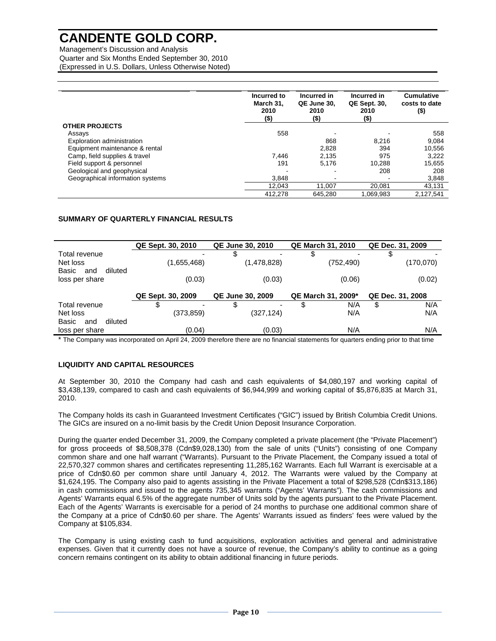Management's Discussion and Analysis Quarter and Six Months Ended September 30, 2010 (Expressed in U.S. Dollars, Unless Otherwise Noted)

|                                  | Incurred to<br>March 31.<br>2010<br>$($ \$) | Incurred in<br>QE June 30.<br>2010<br>$($ \$) | Incurred in<br><b>QE Sept. 30.</b><br>2010<br>(\$) | <b>Cumulative</b><br>costs to date<br>$($ \$) |
|----------------------------------|---------------------------------------------|-----------------------------------------------|----------------------------------------------------|-----------------------------------------------|
| <b>OTHER PROJECTS</b>            |                                             |                                               |                                                    |                                               |
| Assays                           | 558                                         |                                               |                                                    | 558                                           |
| Exploration administration       |                                             | 868                                           | 8.216                                              | 9.084                                         |
| Equipment maintenance & rental   |                                             | 2,828                                         | 394                                                | 10.556                                        |
| Camp, field supplies & travel    | 7.446                                       | 2,135                                         | 975                                                | 3.222                                         |
| Field support & personnel        | 191                                         | 5,176                                         | 10,288                                             | 15,655                                        |
| Geological and geophysical       |                                             |                                               | 208                                                | 208                                           |
| Geographical information systems | 3.848                                       |                                               |                                                    | 3,848                                         |
|                                  | 12.043                                      | 11.007                                        | 20.081                                             | 43.131                                        |
|                                  | 412.278                                     | 645.280                                       | .069.983                                           | 2.127.541                                     |

## **SUMMARY OF QUARTERLY FINANCIAL RESULTS**

|                         | QE Sept. 30, 2010 |                                              | <b>QE June 30, 2010</b> |                           | <b>QE March 31, 2010</b> |                  | QE Dec. 31, 2009 |           |
|-------------------------|-------------------|----------------------------------------------|-------------------------|---------------------------|--------------------------|------------------|------------------|-----------|
| Total revenue           |                   |                                              | \$                      |                           | \$                       |                  |                  |           |
| Net loss                |                   | (1,655,468)                                  |                         | (1,478,828)               |                          | (752,490)        |                  | (170,070) |
| Basic<br>diluted<br>and |                   |                                              |                         |                           |                          |                  |                  |           |
| loss per share          |                   | (0.03)                                       |                         | (0.03)                    |                          | (0.06)           |                  | (0.02)    |
|                         |                   |                                              |                         |                           |                          |                  |                  |           |
|                         |                   | QE Sept. 30, 2009<br><b>QE June 30, 2009</b> |                         | <b>QE March 31, 2009*</b> |                          | QE Dec. 31, 2008 |                  |           |
| Total revenue           | \$                |                                              | \$                      |                           | \$                       | N/A              | \$               | N/A       |
| Net loss                |                   | (373,859)                                    |                         | (327,124)                 |                          | N/A              |                  | N/A       |
| Basic<br>diluted<br>and |                   |                                              |                         |                           |                          |                  |                  |           |
| loss per share          |                   | (0.04)                                       |                         | (0.03)                    |                          | N/A              |                  | N/A       |
|                         |                   |                                              |                         |                           |                          |                  |                  |           |

\* The Company was incorporated on April 24, 2009 therefore there are no financial statements for quarters ending prior to that time

## **LIQUIDITY AND CAPITAL RESOURCES**

At September 30, 2010 the Company had cash and cash equivalents of \$4,080,197 and working capital of \$3,438,139, compared to cash and cash equivalents of \$6,944,999 and working capital of \$5,876,835 at March 31, 2010.

The Company holds its cash in Guaranteed Investment Certificates ("GIC") issued by British Columbia Credit Unions. The GICs are insured on a no-limit basis by the Credit Union Deposit Insurance Corporation.

During the quarter ended December 31, 2009, the Company completed a private placement (the "Private Placement") for gross proceeds of \$8,508,378 (Cdn\$9,028,130) from the sale of units ("Units") consisting of one Company common share and one half warrant ("Warrants). Pursuant to the Private Placement, the Company issued a total of 22,570,327 common shares and certificates representing 11,285,162 Warrants. Each full Warrant is exercisable at a price of Cdn\$0.60 per common share until January 4, 2012. The Warrants were valued by the Company at \$1,624,195. The Company also paid to agents assisting in the Private Placement a total of \$298,528 (Cdn\$313,186) in cash commissions and issued to the agents 735,345 warrants ("Agents' Warrants"). The cash commissions and Agents' Warrants equal 6.5% of the aggregate number of Units sold by the agents pursuant to the Private Placement. Each of the Agents' Warrants is exercisable for a period of 24 months to purchase one additional common share of the Company at a price of Cdn\$0.60 per share. The Agents' Warrants issued as finders' fees were valued by the Company at \$105,834.

The Company is using existing cash to fund acquisitions, exploration activities and general and administrative expenses. Given that it currently does not have a source of revenue, the Company's ability to continue as a going concern remains contingent on its ability to obtain additional financing in future periods.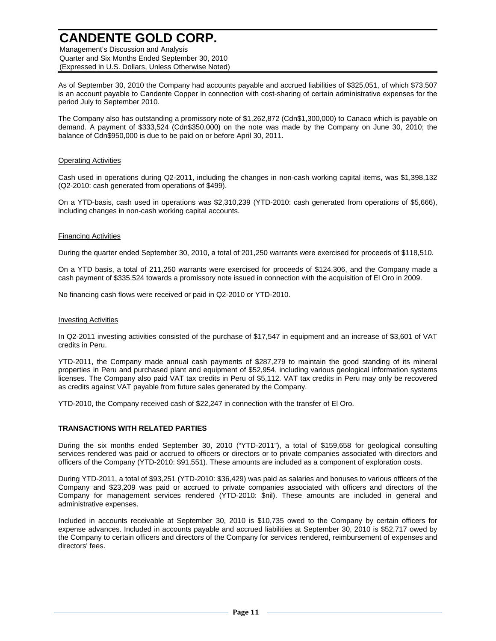Management's Discussion and Analysis Quarter and Six Months Ended September 30, 2010 (Expressed in U.S. Dollars, Unless Otherwise Noted)

As of September 30, 2010 the Company had accounts payable and accrued liabilities of \$325,051, of which \$73,507 is an account payable to Candente Copper in connection with cost-sharing of certain administrative expenses for the period July to September 2010.

The Company also has outstanding a promissory note of \$1,262,872 (Cdn\$1,300,000) to Canaco which is payable on demand. A payment of \$333,524 (Cdn\$350,000) on the note was made by the Company on June 30, 2010; the balance of Cdn\$950,000 is due to be paid on or before April 30, 2011.

### Operating Activities

Cash used in operations during Q2-2011, including the changes in non-cash working capital items, was \$1,398,132 (Q2-2010: cash generated from operations of \$499).

On a YTD-basis, cash used in operations was \$2,310,239 (YTD-2010: cash generated from operations of \$5,666), including changes in non-cash working capital accounts.

### Financing Activities

During the quarter ended September 30, 2010, a total of 201,250 warrants were exercised for proceeds of \$118,510.

On a YTD basis, a total of 211,250 warrants were exercised for proceeds of \$124,306, and the Company made a cash payment of \$335,524 towards a promissory note issued in connection with the acquisition of El Oro in 2009.

No financing cash flows were received or paid in Q2-2010 or YTD-2010.

#### Investing Activities

In Q2-2011 investing activities consisted of the purchase of \$17,547 in equipment and an increase of \$3,601 of VAT credits in Peru.

YTD-2011, the Company made annual cash payments of \$287,279 to maintain the good standing of its mineral properties in Peru and purchased plant and equipment of \$52,954, including various geological information systems licenses. The Company also paid VAT tax credits in Peru of \$5,112. VAT tax credits in Peru may only be recovered as credits against VAT payable from future sales generated by the Company.

YTD-2010, the Company received cash of \$22,247 in connection with the transfer of El Oro.

### **TRANSACTIONS WITH RELATED PARTIES**

During the six months ended September 30, 2010 ("YTD-2011"), a total of \$159,658 for geological consulting services rendered was paid or accrued to officers or directors or to private companies associated with directors and officers of the Company (YTD-2010: \$91,551). These amounts are included as a component of exploration costs.

During YTD-2011, a total of \$93,251 (YTD-2010: \$36,429) was paid as salaries and bonuses to various officers of the Company and \$23,209 was paid or accrued to private companies associated with officers and directors of the Company for management services rendered (YTD-2010: \$nil). These amounts are included in general and administrative expenses.

Included in accounts receivable at September 30, 2010 is \$10,735 owed to the Company by certain officers for expense advances. Included in accounts payable and accrued liabilities at September 30, 2010 is \$52,717 owed by the Company to certain officers and directors of the Company for services rendered, reimbursement of expenses and directors' fees.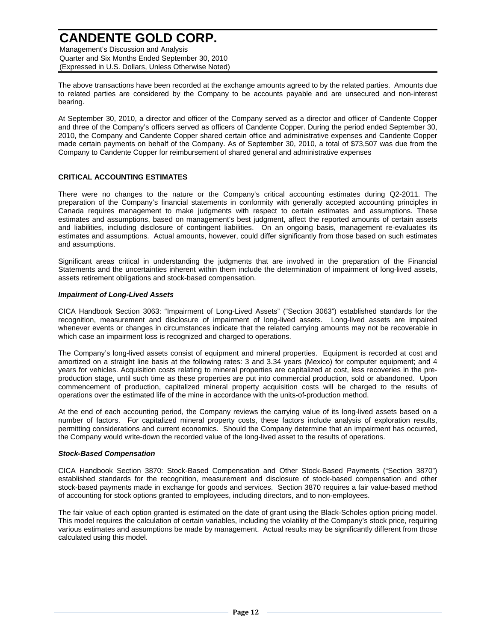Management's Discussion and Analysis Quarter and Six Months Ended September 30, 2010 (Expressed in U.S. Dollars, Unless Otherwise Noted)

The above transactions have been recorded at the exchange amounts agreed to by the related parties. Amounts due to related parties are considered by the Company to be accounts payable and are unsecured and non-interest bearing.

At September 30, 2010, a director and officer of the Company served as a director and officer of Candente Copper and three of the Company's officers served as officers of Candente Copper. During the period ended September 30, 2010, the Company and Candente Copper shared certain office and administrative expenses and Candente Copper made certain payments on behalf of the Company. As of September 30, 2010, a total of \$73,507 was due from the Company to Candente Copper for reimbursement of shared general and administrative expenses

### **CRITICAL ACCOUNTING ESTIMATES**

There were no changes to the nature or the Company's critical accounting estimates during Q2-2011. The preparation of the Company's financial statements in conformity with generally accepted accounting principles in Canada requires management to make judgments with respect to certain estimates and assumptions. These estimates and assumptions, based on management's best judgment, affect the reported amounts of certain assets and liabilities, including disclosure of contingent liabilities. On an ongoing basis, management re-evaluates its estimates and assumptions. Actual amounts, however, could differ significantly from those based on such estimates and assumptions.

Significant areas critical in understanding the judgments that are involved in the preparation of the Financial Statements and the uncertainties inherent within them include the determination of impairment of long-lived assets, assets retirement obligations and stock-based compensation.

### *Impairment of Long-Lived Assets*

CICA Handbook Section 3063: "Impairment of Long-Lived Assets" ("Section 3063") established standards for the recognition, measurement and disclosure of impairment of long-lived assets. Long-lived assets are impaired whenever events or changes in circumstances indicate that the related carrying amounts may not be recoverable in which case an impairment loss is recognized and charged to operations.

The Company's long-lived assets consist of equipment and mineral properties. Equipment is recorded at cost and amortized on a straight line basis at the following rates: 3 and 3.34 years (Mexico) for computer equipment; and 4 years for vehicles. Acquisition costs relating to mineral properties are capitalized at cost, less recoveries in the preproduction stage, until such time as these properties are put into commercial production, sold or abandoned. Upon commencement of production, capitalized mineral property acquisition costs will be charged to the results of operations over the estimated life of the mine in accordance with the units-of-production method.

At the end of each accounting period, the Company reviews the carrying value of its long-lived assets based on a number of factors. For capitalized mineral property costs, these factors include analysis of exploration results, permitting considerations and current economics. Should the Company determine that an impairment has occurred, the Company would write-down the recorded value of the long-lived asset to the results of operations.

### *Stock-Based Compensation*

CICA Handbook Section 3870: Stock-Based Compensation and Other Stock-Based Payments ("Section 3870") established standards for the recognition, measurement and disclosure of stock-based compensation and other stock-based payments made in exchange for goods and services. Section 3870 requires a fair value-based method of accounting for stock options granted to employees, including directors, and to non-employees.

The fair value of each option granted is estimated on the date of grant using the Black-Scholes option pricing model. This model requires the calculation of certain variables, including the volatility of the Company's stock price, requiring various estimates and assumptions be made by management. Actual results may be significantly different from those calculated using this model.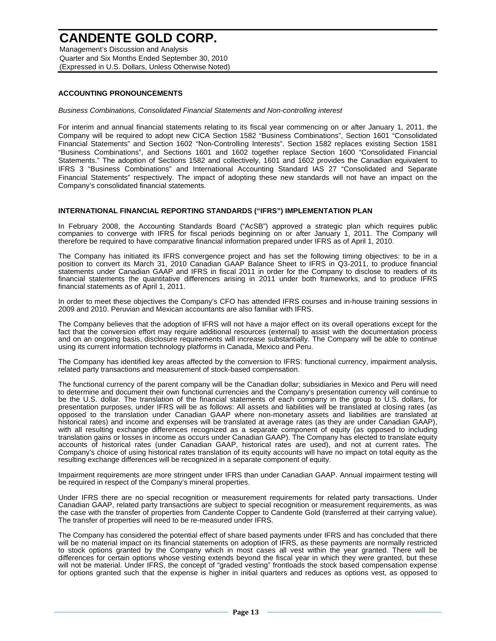Management's Discussion and Analysis Quarter and Six Months Ended September 30, 2010 (Expressed in U.S. Dollars, Unless Otherwise Noted)

### **ACCOUNTING PRONOUNCEMENTS**

*Business Combinations, Consolidated Financial Statements and Non-controlling interest* 

For interim and annual financial statements relating to its fiscal year commencing on or after January 1, 2011, the Company will be required to adopt new CICA Section 1582 "Business Combinations", Section 1601 "Consolidated Financial Statements" and Section 1602 "Non-Controlling Interests". Section 1582 replaces existing Section 1581 "Business Combinations", and Sections 1601 and 1602 together replace Section 1600 "Consolidated Financial Statements." The adoption of Sections 1582 and collectively, 1601 and 1602 provides the Canadian equivalent to IFRS 3 "Business Combinations" and International Accounting Standard IAS 27 "Consolidated and Separate Financial Statements" respectively. The impact of adopting these new standards will not have an impact on the Company's consolidated financial statements.

### **INTERNATIONAL FINANCIAL REPORTING STANDARDS ("IFRS") IMPLEMENTATION PLAN**

In February 2008, the Accounting Standards Board ("AcSB") approved a strategic plan which requires public companies to converge with IFRS for fiscal periods beginning on or after January 1, 2011. The Company will therefore be required to have comparative financial information prepared under IFRS as of April 1, 2010.

The Company has initiated its IFRS convergence project and has set the following timing objectives: to be in a position to convert its March 31, 2010 Canadian GAAP Balance Sheet to IFRS in Q3-2011, to produce financial statements under Canadian GAAP and IFRS in fiscal 2011 in order for the Company to disclose to readers of its financial statements the quantitative differences arising in 2011 under both frameworks, and to produce IFRS financial statements as of April 1, 2011.

In order to meet these objectives the Company's CFO has attended IFRS courses and in-house training sessions in 2009 and 2010. Peruvian and Mexican accountants are also familiar with IFRS.

The Company believes that the adoption of IFRS will not have a major effect on its overall operations except for the fact that the conversion effort may require additional resources (external) to assist with the documentation process and on an ongoing basis, disclosure requirements will increase substantially. The Company will be able to continue using its current information technology platforms in Canada, Mexico and Peru.

The Company has identified key areas affected by the conversion to IFRS: functional currency, impairment analysis, related party transactions and measurement of stock-based compensation.

The functional currency of the parent company will be the Canadian dollar; subsidiaries in Mexico and Peru will need to determine and document their own functional currencies and the Company's presentation currency will continue to be the U.S. dollar. The translation of the financial statements of each company in the group to U.S. dollars, for presentation purposes, under IFRS will be as follows: All assets and liabilities will be translated at closing rates (as opposed to the translation under Canadian GAAP where non-monetary assets and liabilities are translated at historical rates) and income and expenses will be translated at average rates (as they are under Canadian GAAP), with all resulting exchange differences recognized as a separate component of equity (as opposed to including translation gains or losses in income as occurs under Canadian GAAP). The Company has elected to translate equity accounts of historical rates (under Canadian GAAP, historical rates are used), and not at current rates. The Company's choice of using historical rates translation of its equity accounts will have no impact on total equity as the resulting exchange differences will be recognized in a separate component of equity.

Impairment requirements are more stringent under IFRS than under Canadian GAAP. Annual impairment testing will be required in respect of the Company's mineral properties.

Under IFRS there are no special recognition or measurement requirements for related party transactions. Under Canadian GAAP, related party transactions are subject to special recognition or measurement requirements, as was the case with the transfer of properties from Candente Copper to Candente Gold (transferred at their carrying value). The transfer of properties will need to be re-measured under IFRS.

The Company has considered the potential effect of share based payments under IFRS and has concluded that there will be no material impact on its financial statements on adoption of IFRS, as these payments are normally restricted to stock options granted by the Company which in most cases all vest within the year granted. There will be differences for certain options whose vesting extends beyond the fiscal year in which they were granted, but these will not be material. Under IFRS, the concept of "graded vesting" frontloads the stock based compensation expense for options granted such that the expense is higher in initial quarters and reduces as options vest, as opposed to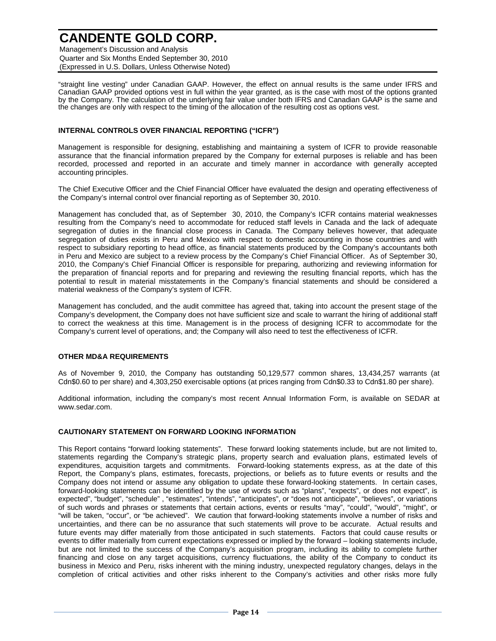Management's Discussion and Analysis Quarter and Six Months Ended September 30, 2010 (Expressed in U.S. Dollars, Unless Otherwise Noted)

"straight line vesting" under Canadian GAAP. However, the effect on annual results is the same under IFRS and Canadian GAAP provided options vest in full within the year granted, as is the case with most of the options granted by the Company. The calculation of the underlying fair value under both IFRS and Canadian GAAP is the same and the changes are only with respect to the timing of the allocation of the resulting cost as options vest.

### **INTERNAL CONTROLS OVER FINANCIAL REPORTING ("ICFR")**

Management is responsible for designing, establishing and maintaining a system of ICFR to provide reasonable assurance that the financial information prepared by the Company for external purposes is reliable and has been recorded, processed and reported in an accurate and timely manner in accordance with generally accepted accounting principles.

The Chief Executive Officer and the Chief Financial Officer have evaluated the design and operating effectiveness of the Company's internal control over financial reporting as of September 30, 2010.

Management has concluded that, as of September 30, 2010, the Company's ICFR contains material weaknesses resulting from the Company's need to accommodate for reduced staff levels in Canada and the lack of adequate segregation of duties in the financial close process in Canada. The Company believes however, that adequate segregation of duties exists in Peru and Mexico with respect to domestic accounting in those countries and with respect to subsidiary reporting to head office, as financial statements produced by the Company's accountants both in Peru and Mexico are subject to a review process by the Company's Chief Financial Officer. As of September 30, 2010, the Company's Chief Financial Officer is responsible for preparing, authorizing and reviewing information for the preparation of financial reports and for preparing and reviewing the resulting financial reports, which has the potential to result in material misstatements in the Company's financial statements and should be considered a material weakness of the Company's system of ICFR.

Management has concluded, and the audit committee has agreed that, taking into account the present stage of the Company's development, the Company does not have sufficient size and scale to warrant the hiring of additional staff to correct the weakness at this time. Management is in the process of designing ICFR to accommodate for the Company's current level of operations, and; the Company will also need to test the effectiveness of ICFR.

### **OTHER MD&A REQUIREMENTS**

As of November 9, 2010, the Company has outstanding 50,129,577 common shares, 13,434,257 warrants (at Cdn\$0.60 to per share) and 4,303,250 exercisable options (at prices ranging from Cdn\$0.33 to Cdn\$1.80 per share).

Additional information, including the company's most recent Annual Information Form, is available on SEDAR at www.sedar.com.

### **CAUTIONARY STATEMENT ON FORWARD LOOKING INFORMATION**

This Report contains "forward looking statements". These forward looking statements include, but are not limited to, statements regarding the Company's strategic plans, property search and evaluation plans, estimated levels of expenditures, acquisition targets and commitments. Forward-looking statements express, as at the date of this Report, the Company's plans, estimates, forecasts, projections, or beliefs as to future events or results and the Company does not intend or assume any obligation to update these forward-looking statements. In certain cases, forward-looking statements can be identified by the use of words such as "plans", "expects", or does not expect", is expected", "budget", "schedule", "estimates", "intends", "anticipates", or "does not anticipate", "believes", or variations of such words and phrases or statements that certain actions, events or results "may", "could", "would", "might", or "will be taken, "occur", or "be achieved". We caution that forward-looking statements involve a number of risks and uncertainties, and there can be no assurance that such statements will prove to be accurate. Actual results and future events may differ materially from those anticipated in such statements. Factors that could cause results or events to differ materially from current expectations expressed or implied by the forward – looking statements include, but are not limited to the success of the Company's acquisition program, including its ability to complete further financing and close on any target acquisitions, currency fluctuations, the ability of the Company to conduct its business in Mexico and Peru, risks inherent with the mining industry, unexpected regulatory changes, delays in the completion of critical activities and other risks inherent to the Company's activities and other risks more fully